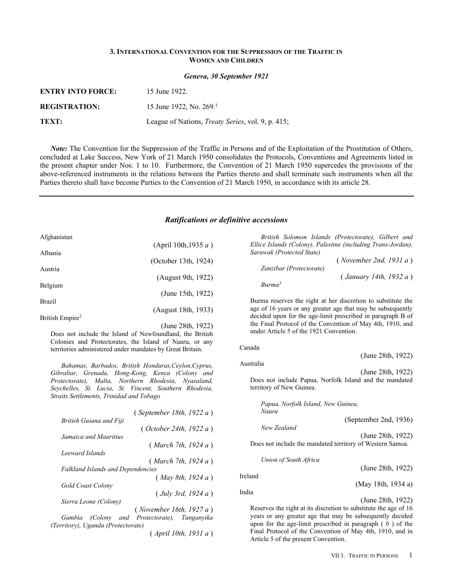### **3. INTERNATIONAL CONVENTION FOR THE SUPPRESSION OF THE TRAFFIC IN WOMEN AND CHILDREN**

*Geneva, 30 September 1921*

| <b>ENTRY INTO FORCE:</b> | 15 June 1922.                                             |
|--------------------------|-----------------------------------------------------------|
| <b>REGISTRATION:</b>     | 15 June 1922, No. 269.                                    |
| TEXT:                    | League of Nations, <i>Treaty Series</i> , vol. 9, p. 415; |

*Note:* The Convention for the Suppression of the Traffic in Persons and of the Exploitation of the Prostitution of Others, concluded at Lake Success, New York of 21 March 1950 consolidates the Protocols, Conventions and Agreements listed in the present chapter under Nos. 1 to 10. Furthermore, the Convention of 21 March 1950 supercedes the provisions of the above-referenced instruments in the relations between the Parties thereto and shall terminate such instruments when all the Parties thereto shall have become Parties to the Convention of 21 March 1950, in accordance with its article 28.

## *Ratifications or definitive accessions*

| Afghanistan                 |                      |
|-----------------------------|----------------------|
|                             | (April 10th, 1935 a) |
| Albania                     | (October 13th, 1924) |
| Austria                     |                      |
| Belgium                     | (August 9th, 1922)   |
|                             | (June 15th, 1922)    |
| <b>Brazil</b>               | (August 18th, 1933)  |
| British Empire <sup>2</sup> |                      |

(June 28th, 1922) Does not include the Island of Newfoundland, the British Colonies and Protectorates, the Island of Nauru, or any territories administered under mandates by Great Britain.

*Bahamas, Barbados, British Honduras,Ceylon,Cyprus, Gibraltar, Grenada, Hong-Kong, Kenya (Colony and Protectorate), Malta, Northern Rhodesia, Nyasaland, Seychelles, St. Lucia, St. Vincent, Southern Rhodesia, Straits Settlements, Trinidad and Tobago*

|                                          | (September 18th, 1922a)                      |
|------------------------------------------|----------------------------------------------|
| British Guiana and Fiji                  |                                              |
|                                          | ( October 24th, 1922 a)                      |
| Jamaica and Mauritius                    |                                              |
|                                          | (March 7th, 1924 a)                          |
| Leeward Islands                          |                                              |
|                                          | (March 7th, 1924 a)                          |
| <b>Falkland Islands and Dependencies</b> |                                              |
|                                          | (May 8th, 1924 a)                            |
| <b>Gold Coast Colony</b>                 |                                              |
|                                          | (July 3rd, 1924 a)                           |
| Sierra Leone (Colony)                    |                                              |
|                                          | (November 16th, 1927 a)                      |
|                                          | Gambia (Colony and Protectorate), Tanganyika |
| (Territory), Uganda (Protectorate)       |                                              |
|                                          |                                              |

( *April 10th, 1931 a* )

*British Solomon Islands (Protectorate), Gilbert and Ellice Islands (Colony), Palestine (including Trans-Jordan), Sarawak (Protected State)*

|                         | (November 2nd, 1931 a) |
|-------------------------|------------------------|
| Zanzibar (Protectorate) |                        |
|                         | (January 14th, 1932 a) |
| Burma <sup>3</sup>      |                        |

Burma reserves the right at her discretion to substitute the age of 16 years or any greater age that may be subsequently decided upon for the age-limit prescribed in paragraph B of the Final Protocol of the Convention of May 4th, 1910, and under Article 5 of the 1921 Convention.

#### Canada

Australia

(June 28th, 1922) (June 28th, 1922)

Does not include Papua, Norfolk Island and the mandated territory of New Guinea.

*Papua, Norfolk Island, New Guinea, Nauru*

| 1 1 W W W W<br>New Zealand | (September 2nd, 1936) |
|----------------------------|-----------------------|
|                            | (June 28th, 1922)     |

Does not include the mandated territory of Western Samoa.

*Union of South Africa*

(June 28th, 1922)

(May 18th, 1934 a)

India

Ireland

(June 28th, 1922)

Reserves the right at its discretion to substitute the age of 16 years or any greater age that may be subsequently decided upon for the age-limit prescribed in paragraph ( *b* ) of the Final Protocol of the Convention of May 4th, 1910, and in Article 5 of the present Convention.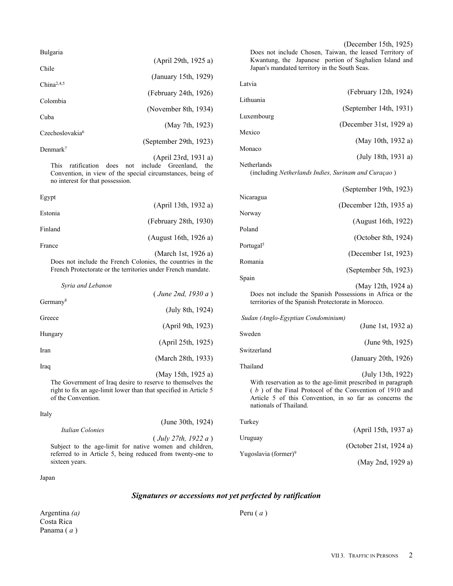| <b>Bulgaria</b>             |                          |
|-----------------------------|--------------------------|
|                             | (April 29th, 1925 a)     |
| Chile                       | (January 15th, 1929)     |
| China <sup>2,4,5</sup>      |                          |
|                             | (February 24th, $1926$ ) |
| Colombia                    |                          |
| Cuba                        | (November 8th, $1934$ )  |
|                             | (May 7th, 1923)          |
| Czechoslovakia <sup>6</sup> |                          |
| Denmark <sup>7</sup>        | (September 29th, 1923)   |
|                             |                          |

(April 23rd, 1931 a) This ratification does not include Greenland, the Convention, in view of the special circumstances, being of no interest for that possession.

| Egypt   |                                                              |
|---------|--------------------------------------------------------------|
|         | (April 13th, 1932 a)                                         |
| Estonia |                                                              |
|         | (February 28th, 1930)                                        |
| Finland |                                                              |
|         | (August 16th, 1926 a)                                        |
| France  |                                                              |
|         | (March 1st, 1926 a)                                          |
|         | Does not include the French Colonies, the countries in the   |
|         | French Protectorate or the territories under French mandate. |

| Syria and Lebanon    |                    |
|----------------------|--------------------|
|                      | (June 2nd, 1930 a) |
| Germany <sup>8</sup> | (July 8th, 1924)   |
| Greece               |                    |
|                      | (April 9th, 1923)  |
| Hungary              | (April 25th, 1925) |
| Iran                 |                    |
|                      | (March 28th, 1933) |
| Iraq                 | (May 15th, 1925 a) |
|                      |                    |

The Government of Iraq desire to reserve to themselves the right to fix an age-limit lower than that specified in Article 5 of the Convention.

| Italy<br>(June 30th, $1924$ )                              | Turkev                           |                        |
|------------------------------------------------------------|----------------------------------|------------------------|
| Italian Colonies                                           |                                  | (April 15th, 1937 a)   |
| $($ July 27th, 1922 a)                                     | Uruguay                          |                        |
| Subject to the age-limit for native women and children,    |                                  | (October 21st, 1924 a) |
| referred to in Article 5, being reduced from twenty-one to | Yugoslavia (former) <sup>9</sup> |                        |
| sixteen years.                                             |                                  | (May 2nd, 1929 a)      |

Japan

# *Signatures or accessions not yet perfected by ratification*

Argentina *(a)* Costa Rica Panama ( *a* )

Does not include Chosen, Taiwan, the leased Territory of Kwantung, the Japanese portion of Saghalien Island and Japan's mandated territory in the South Seas.

| (February 12th, 1924)                               |
|-----------------------------------------------------|
|                                                     |
| (September 14th, 1931)                              |
|                                                     |
| (December 31st, 1929 a)                             |
| (May 10th, 1932 a)                                  |
|                                                     |
| (July 18th, 1931 a)                                 |
| (including Netherlands Indies, Surinam and Curaçao) |
| (September 19th, 1923)                              |
|                                                     |
| (December 12th, 1935 a)                             |
|                                                     |
| (August 16th, 1922)                                 |
| (October 8th, 1924)                                 |
|                                                     |
| (December 1st, 1923)                                |
|                                                     |
| (September 5th, 1923)                               |
|                                                     |
|                                                     |

(May 12th, 1924 a) Does not include the Spanish Possessions in Africa or the territories of the Spanish Protectorate in Morocco.

| Sudan (Anglo-Egyptian Condominium)                                                                                                                               |                      |
|------------------------------------------------------------------------------------------------------------------------------------------------------------------|----------------------|
|                                                                                                                                                                  | (June 1st, 1932 a)   |
| Sweden                                                                                                                                                           | (June 9th, 1925)     |
| Switzerland                                                                                                                                                      |                      |
|                                                                                                                                                                  | (January 20th, 1926) |
| Thailand                                                                                                                                                         | (July 13th, 1922)    |
|                                                                                                                                                                  |                      |
| With reservation as to the age-limit prescribed in paragraph<br>$\left( \begin{array}{cccc} 1 & 0 & 0 & 0 \\ 0 & 0 & 0 & 0 \\ 0 & 0 & 0 & 0 \end{array} \right)$ |                      |

( *b* ) of the Final Protocol of the Convention of 1910 and Article 5 of this Convention, in so far as concerns the nationals of Thailand.

| Turkey                           |                        |
|----------------------------------|------------------------|
|                                  | (April 15th, 1937 a)   |
| Uruguay                          | (October 21st, 1924 a) |
| Yugoslavia (former) <sup>9</sup> | (Mav 2nd 1929 a)       |

Peru ( *a* )

# (December 15th, 1925)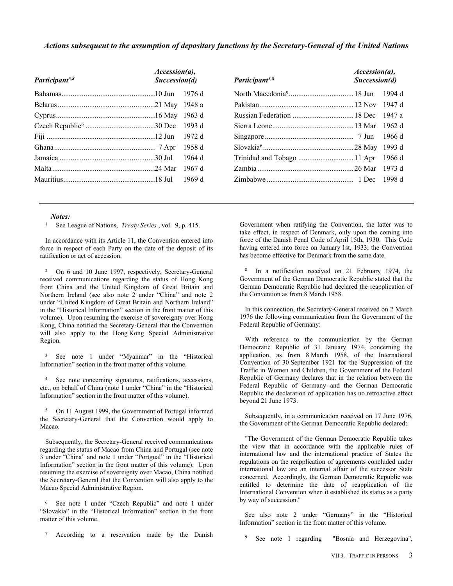### *Actions subsequent to the assumption of depositary functions by the Secretary-General of the United Nations*

| $Accession(a)$ ,<br>Succession(d) |        |
|-----------------------------------|--------|
|                                   | 1976 d |
|                                   | 1948 a |
|                                   | 1963d  |
|                                   | 1993 d |
|                                   | 1972 d |
|                                   | 1958 d |
|                                   | 1964 d |
|                                   | 1967 d |
|                                   | 1969 d |
|                                   |        |

| Participant <sup>5,8</sup>  | $Accession(a)$ ,<br>Succession(d) |        |
|-----------------------------|-----------------------------------|--------|
|                             |                                   | 1994 d |
|                             |                                   | 1947 d |
|                             |                                   | 1947 a |
|                             |                                   | 1962 d |
|                             |                                   | 1966 d |
|                             |                                   | 1993 d |
| Trinidad and Tobago  11 Apr |                                   | 1966 d |
|                             |                                   | 1973 d |
|                             |                                   | 1998 d |

#### *Notes:*

<sup>1</sup> See League of Nations, *Treaty Series* , vol. 9, p. 415.

In accordance with its Article 11, the Convention entered into force in respect of each Party on the date of the deposit of its ratification or act of accession.

<sup>2</sup> On 6 and 10 June 1997, respectively, Secretary-General received communications regarding the status of Hong Kong from China and the United Kingdom of Great Britain and Northern Ireland (see also note 2 under "China" and note 2 under "United Kingdom of Great Britain and Northern Ireland" in the "Historical Information" section in the front matter of this volume). Upon resuming the exercise of sovereignty over Hong Kong, China notified the Secretary-General that the Convention will also apply to the Hong Kong Special Administrative Region.

<sup>3</sup> See note 1 under "Myanmar" in the "Historical Information" section in the front matter of this volume.

<sup>4</sup> See note concerning signatures, ratifications, accessions, etc., on behalf of China (note 1 under "China" in the "Historical Information" section in the front matter of this volume).

<sup>5</sup> On 11 August 1999, the Government of Portugal informed the Secretary-General that the Convention would apply to Macao.

Subsequently, the Secretary-General received communications regarding the status of Macao from China and Portugal (see note 3 under "China" and note 1 under "Portgual" in the "Historical Information" section in the front matter of this volume). Upon resuming the exercise of sovereignty over Macao, China notified the Secretary-General that the Convention will also apply to the Macao Special Administrative Region.

<sup>6</sup> See note 1 under "Czech Republic" and note 1 under "Slovakia" in the "Historical Information" section in the front matter of this volume.

<sup>7</sup> According to a reservation made by the Danish

Government when ratifying the Convention, the latter was to take effect, in respect of Denmark, only upon the coming into force of the Danish Penal Code of April 15th, 1930. This Code having entered into force on January 1st, 1933, the Convention has become effective for Denmark from the same date.

8 In a notification received on 21 February 1974, the Government of the German Democratic Republic stated that the German Democratic Republic had declared the reapplication of the Convention as from  $\hat{8}$  March 1958.

In this connection, the Secretary-General received on 2 March 1976 the following communication from the Government of the Federal Republic of Germany:

With reference to the communication by the German Democratic Republic of 31 January 1974, concerning the application, as from 8 March 1958, of the International Convention of 30 September 1921 for the Suppression of the Traffic in Women and Children, the Government of the Federal Republic of Germany declares that in the relation between the Federal Republic of Germany and the German Democratic Republic the declaration of application has no retroactive effect beyond 21 June 1973.

Subsequently, in a communication received on 17 June 1976, the Government of the German Democratic Republic declared:

"The Government of the German Democratic Republic takes the view that in accordance with the applicable rules of international law and the international practice of States the regulations on the reapplication of agreements concluded under international law are an internal affair of the successor State concerned. Accordingly, the German Democratic Republic was entitled to determine the date of reapplication of the International Convention when it established its status as a party by way of succession."

See also note 2 under "Germany" in the "Historical Information" section in the front matter of this volume.

<sup>9</sup> See note 1 regarding "Bosnia and Herzegovina",